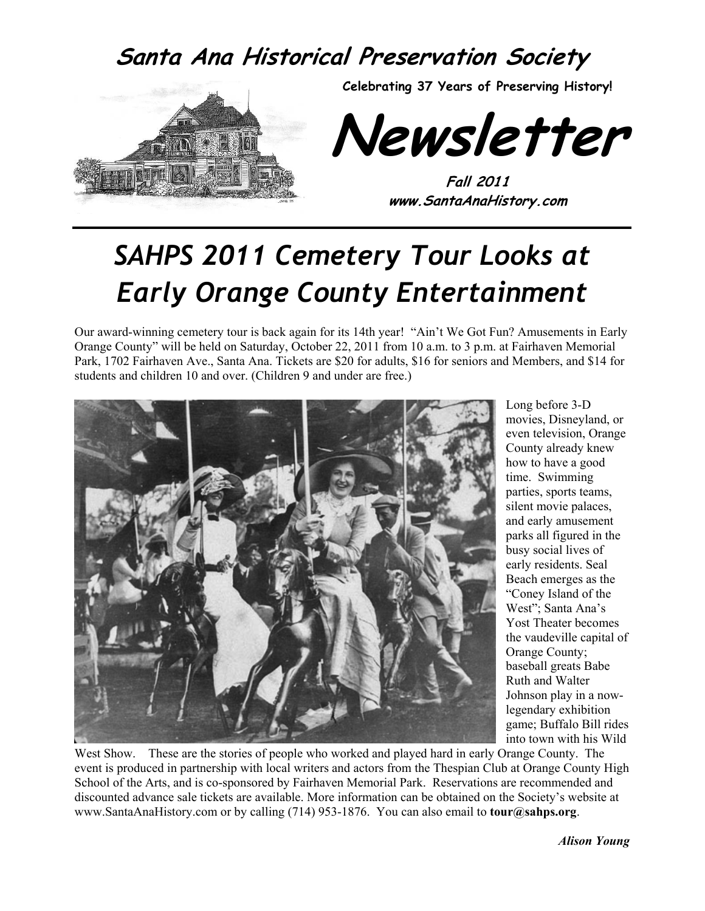# **Santa Ana Historical Preservation Society**



**Celebrating 37 Years of Preserving History!** 

**Newsletter** 

**Fall 2011 www.SantaAnaHistory.com** 

# *SAHPS 2011 Cemetery Tour Looks at Early Orange County Entertainment*

Our award-winning cemetery tour is back again for its 14th year! "Ain't We Got Fun? Amusements in Early Orange County" will be held on Saturday, October 22, 2011 from 10 a.m. to 3 p.m. at Fairhaven Memorial Park, 1702 Fairhaven Ave., Santa Ana. Tickets are \$20 for adults, \$16 for seniors and Members, and \$14 for students and children 10 and over. (Children 9 and under are free.)



Long before 3-D movies, Disneyland, or even television, Orange County already knew how to have a good time. Swimming parties, sports teams, silent movie palaces, and early amusement parks all figured in the busy social lives of early residents. Seal Beach emerges as the "Coney Island of the West"; Santa Ana's Yost Theater becomes the vaudeville capital of Orange County; baseball greats Babe Ruth and Walter Johnson play in a nowlegendary exhibition game; Buffalo Bill rides into town with his Wild

West Show. These are the stories of people who worked and played hard in early Orange County. The event is produced in partnership with local writers and actors from the Thespian Club at Orange County High School of the Arts, and is co-sponsored by Fairhaven Memorial Park. Reservations are recommended and discounted advance sale tickets are available. More information can be obtained on the Society's website at www.SantaAnaHistory.com or by calling (714) 953-1876. You can also email to **tour@sahps.org**.

*Alison Young*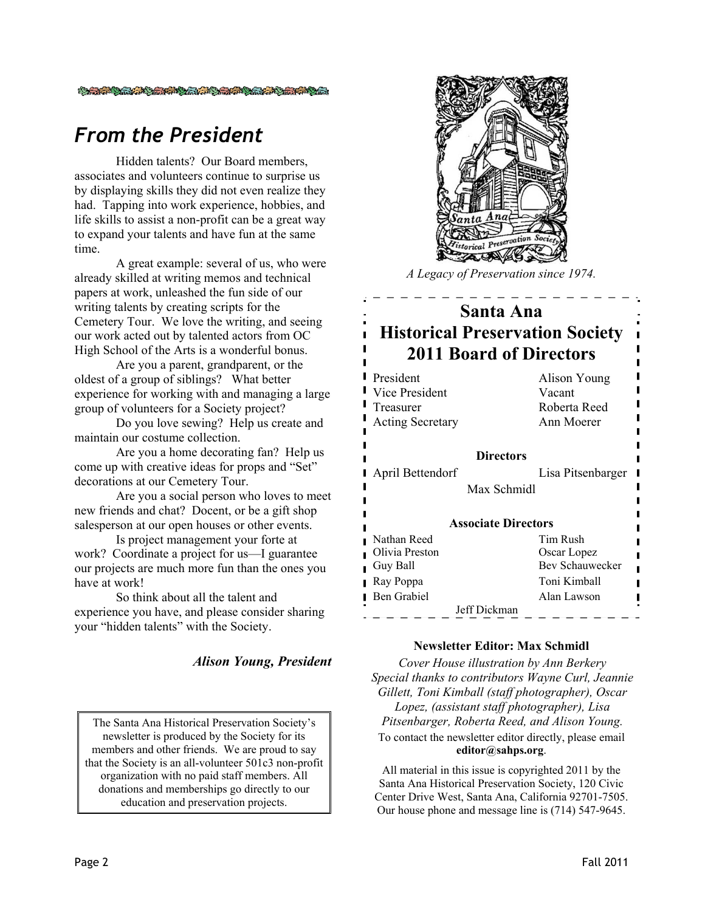#### **CARGE AND A SERVER AND CARGE AND A SERVER**

#### *From the President*

Hidden talents? Our Board members, associates and volunteers continue to surprise us by displaying skills they did not even realize they had. Tapping into work experience, hobbies, and life skills to assist a non-profit can be a great way to expand your talents and have fun at the same time.

A great example: several of us, who were already skilled at writing memos and technical papers at work, unleashed the fun side of our writing talents by creating scripts for the Cemetery Tour. We love the writing, and seeing our work acted out by talented actors from OC High School of the Arts is a wonderful bonus.

Are you a parent, grandparent, or the oldest of a group of siblings? What better experience for working with and managing a large group of volunteers for a Society project?

Do you love sewing? Help us create and maintain our costume collection.

Are you a home decorating fan? Help us come up with creative ideas for props and "Set" decorations at our Cemetery Tour.

Are you a social person who loves to meet new friends and chat? Docent, or be a gift shop salesperson at our open houses or other events.

Is project management your forte at work? Coordinate a project for us—I guarantee our projects are much more fun than the ones you have at work!

So think about all the talent and experience you have, and please consider sharing your "hidden talents" with the Society.

#### *Alison Young, President*

The Santa Ana Historical Preservation Society's newsletter is produced by the Society for its members and other friends. We are proud to say that the Society is an all-volunteer 501c3 non-profit organization with no paid staff members. All donations and memberships go directly to our education and preservation projects.



*A Legacy of Preservation since 1974.* 

#### **Santa Ana Historical Preservation Society 2011 Board of Directors**

| <b>President</b><br>Vice President<br>Treasurer | Alison Young<br>Vacant<br>Roberta Reed |  |  |
|-------------------------------------------------|----------------------------------------|--|--|
| <b>Acting Secretary</b>                         | Ann Moerer                             |  |  |
|                                                 |                                        |  |  |
| <b>Directors</b>                                |                                        |  |  |
| April Bettendorf                                | Lisa Pitsenbarger                      |  |  |
| Max Schmidl                                     |                                        |  |  |
|                                                 |                                        |  |  |
| <b>Associate Directors</b>                      |                                        |  |  |
| Nathan Reed                                     | Tim Rush                               |  |  |
| Olivia Preston                                  | Oscar Lopez                            |  |  |
| Guy Ball                                        | <b>Bev Schauwecker</b>                 |  |  |
| Ray Poppa                                       | Toni Kimball                           |  |  |
| Ben Grabiel                                     | Alan Lawson                            |  |  |
| Jeff Dickman                                    |                                        |  |  |

#### **Newsletter Editor: Max Schmidl**

*Cover House illustration by Ann Berkery Special thanks to contributors Wayne Curl, Jeannie Gillett, Toni Kimball (staff photographer), Oscar Lopez, (assistant staff photographer), Lisa Pitsenbarger, Roberta Reed, and Alison Young.*  To contact the newsletter editor directly, please email **editor@sahps.org**.

All material in this issue is copyrighted 2011 by the Santa Ana Historical Preservation Society, 120 Civic Center Drive West, Santa Ana, California 92701-7505. Our house phone and message line is (714) 547-9645.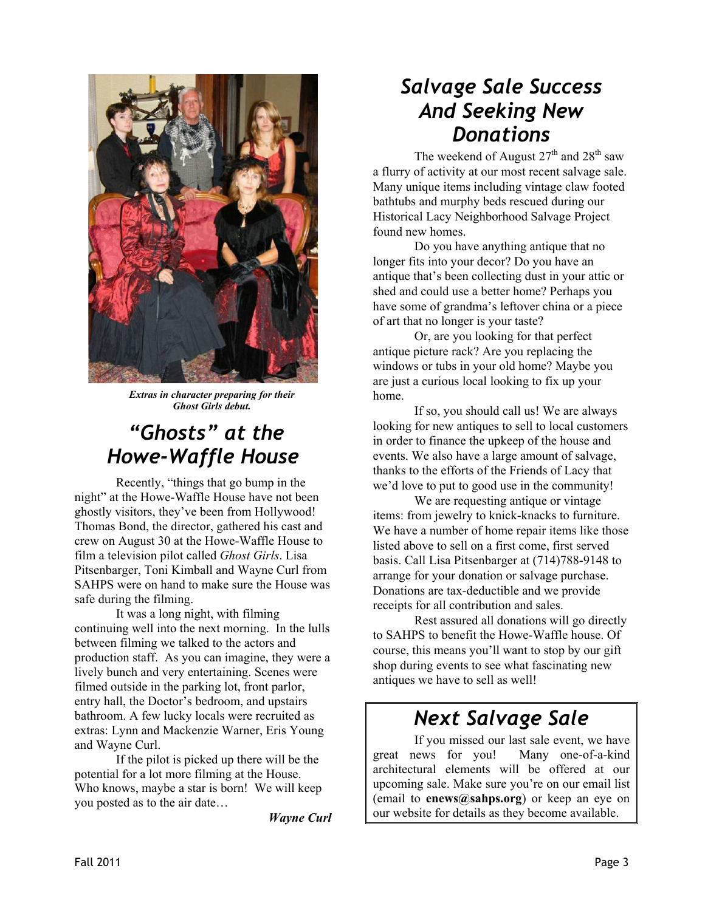

*Extras in character preparing for their Ghost Girls debut.* 

# *"Ghosts" at the Howe-Waffle House*

 Recently, "things that go bump in the night" at the Howe-Waffle House have not been ghostly visitors, they've been from Hollywood! Thomas Bond, the director, gathered his cast and crew on August 30 at the Howe-Waffle House to film a television pilot called *Ghost Girls*. Lisa Pitsenbarger, Toni Kimball and Wayne Curl from SAHPS were on hand to make sure the House was safe during the filming.

 It was a long night, with filming continuing well into the next morning. In the lulls between filming we talked to the actors and production staff. As you can imagine, they were a lively bunch and very entertaining. Scenes were filmed outside in the parking lot, front parlor, entry hall, the Doctor's bedroom, and upstairs bathroom. A few lucky locals were recruited as extras: Lynn and Mackenzie Warner, Eris Young and Wayne Curl.

 If the pilot is picked up there will be the potential for a lot more filming at the House. Who knows, maybe a star is born! We will keep you posted as to the air date…

*Wayne Curl* 

#### *Salvage Sale Success And Seeking New Donations*

The weekend of August  $27<sup>th</sup>$  and  $28<sup>th</sup>$  saw a flurry of activity at our most recent salvage sale. Many unique items including vintage claw footed bathtubs and murphy beds rescued during our Historical Lacy Neighborhood Salvage Project found new homes.

Do you have anything antique that no longer fits into your decor? Do you have an antique that's been collecting dust in your attic or shed and could use a better home? Perhaps you have some of grandma's leftover china or a piece of art that no longer is your taste?

Or, are you looking for that perfect antique picture rack? Are you replacing the windows or tubs in your old home? Maybe you are just a curious local looking to fix up your home.

If so, you should call us! We are always looking for new antiques to sell to local customers in order to finance the upkeep of the house and events. We also have a large amount of salvage, thanks to the efforts of the Friends of Lacy that we'd love to put to good use in the community!

We are requesting antique or vintage items: from jewelry to knick-knacks to furniture. We have a number of home repair items like those listed above to sell on a first come, first served basis. Call Lisa Pitsenbarger at (714)788-9148 to arrange for your donation or salvage purchase. Donations are tax-deductible and we provide receipts for all contribution and sales.

Rest assured all donations will go directly to SAHPS to benefit the Howe-Waffle house. Of course, this means you'll want to stop by our gift shop during events to see what fascinating new antiques we have to sell as well!

### *Next Salvage Sale*

 If you missed our last sale event, we have great news for you! Many one-of-a-kind architectural elements will be offered at our upcoming sale. Make sure you're on our email list (email to **enews@sahps.org**) or keep an eye on our website for details as they become available.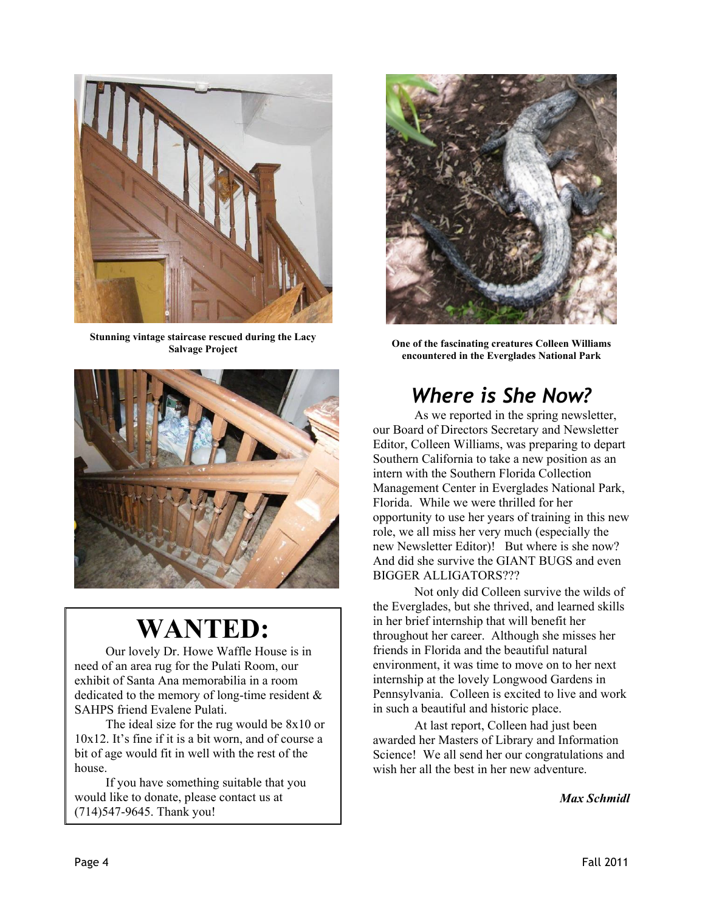

**Stunning vintage staircase rescued during the Lacy Salvage Project** 



# **WANTED:**

Our lovely Dr. Howe Waffle House is in need of an area rug for the Pulati Room, our exhibit of Santa Ana memorabilia in a room dedicated to the memory of long-time resident & SAHPS friend Evalene Pulati.

The ideal size for the rug would be 8x10 or 10x12. It's fine if it is a bit worn, and of course a bit of age would fit in well with the rest of the house.

If you have something suitable that you would like to donate, please contact us at (714)547-9645. Thank you!



**One of the fascinating creatures Colleen Williams encountered in the Everglades National Park** 

# *Where is She Now?*

 As we reported in the spring newsletter, our Board of Directors Secretary and Newsletter Editor, Colleen Williams, was preparing to depart Southern California to take a new position as an intern with the Southern Florida Collection Management Center in Everglades National Park, Florida. While we were thrilled for her opportunity to use her years of training in this new role, we all miss her very much (especially the new Newsletter Editor)! But where is she now? And did she survive the GIANT BUGS and even BIGGER ALLIGATORS???

 Not only did Colleen survive the wilds of the Everglades, but she thrived, and learned skills in her brief internship that will benefit her throughout her career. Although she misses her friends in Florida and the beautiful natural environment, it was time to move on to her next internship at the lovely Longwood Gardens in Pennsylvania. Colleen is excited to live and work in such a beautiful and historic place.

 At last report, Colleen had just been awarded her Masters of Library and Information Science! We all send her our congratulations and wish her all the best in her new adventure.

*Max Schmidl*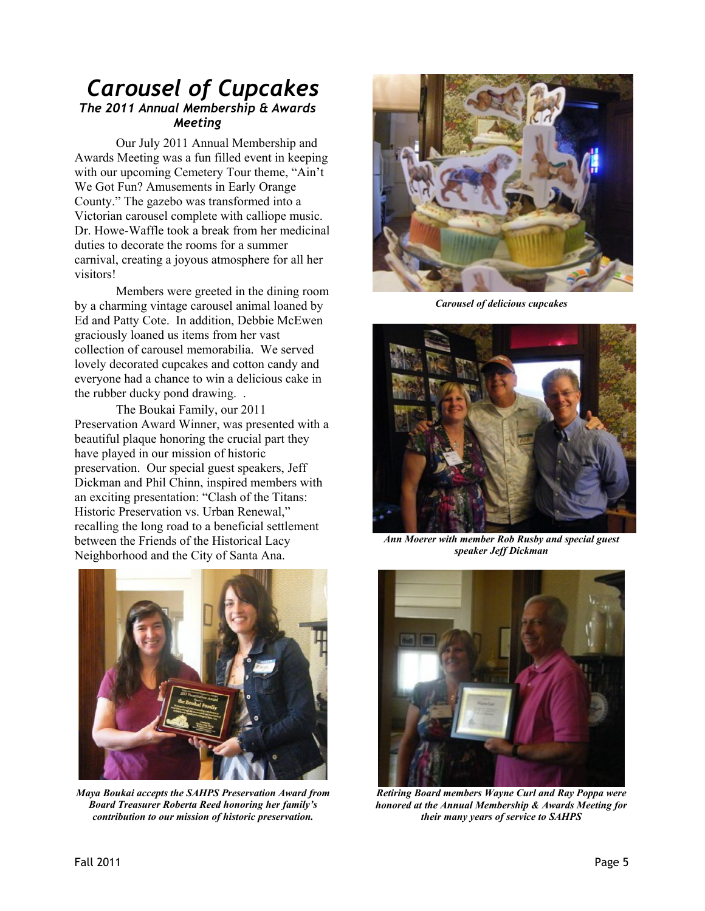#### *Carousel of Cupcakes The 2011 Annual Membership & Awards Meeting*

 Our July 2011 Annual Membership and Awards Meeting was a fun filled event in keeping with our upcoming Cemetery Tour theme, "Ain't We Got Fun? Amusements in Early Orange County." The gazebo was transformed into a Victorian carousel complete with calliope music. Dr. Howe-Waffle took a break from her medicinal duties to decorate the rooms for a summer carnival, creating a joyous atmosphere for all her visitors!

 Members were greeted in the dining room by a charming vintage carousel animal loaned by Ed and Patty Cote. In addition, Debbie McEwen graciously loaned us items from her vast collection of carousel memorabilia. We served lovely decorated cupcakes and cotton candy and everyone had a chance to win a delicious cake in the rubber ducky pond drawing. .

 The Boukai Family, our 2011 Preservation Award Winner, was presented with a beautiful plaque honoring the crucial part they have played in our mission of historic preservation. Our special guest speakers, Jeff Dickman and Phil Chinn, inspired members with an exciting presentation: "Clash of the Titans: Historic Preservation vs. Urban Renewal," recalling the long road to a beneficial settlement between the Friends of the Historical Lacy Neighborhood and the City of Santa Ana.



*Maya Boukai accepts the SAHPS Preservation Award from Board Treasurer Roberta Reed honoring her family's contribution to our mission of historic preservation.* 



*Carousel of delicious cupcakes* 



*Ann Moerer with member Rob Rusby and special guest speaker Jeff Dickman* 



*Retiring Board members Wayne Curl and Ray Poppa were honored at the Annual Membership & Awards Meeting for their many years of service to SAHPS*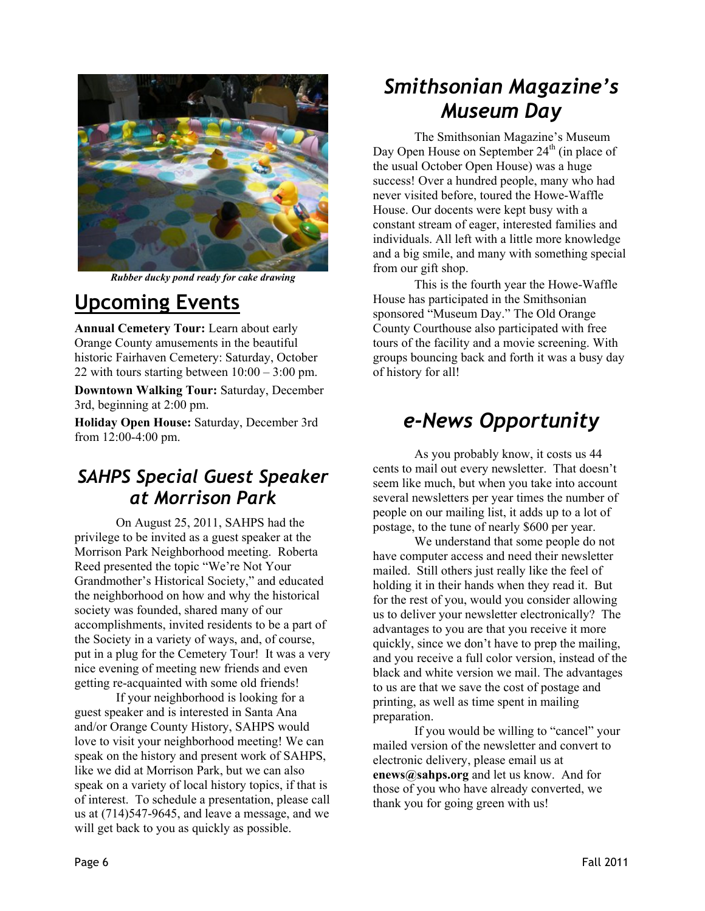

*Rubber ducky pond ready for cake drawing* 

### **Upcoming Events**

**Annual Cemetery Tour:** Learn about early Orange County amusements in the beautiful historic Fairhaven Cemetery: Saturday, October 22 with tours starting between  $10:00 - 3:00$  pm.

**Downtown Walking Tour:** Saturday, December 3rd, beginning at 2:00 pm.

**Holiday Open House:** Saturday, December 3rd from 12:00-4:00 pm.

#### *SAHPS Special Guest Speaker at Morrison Park*

 On August 25, 2011, SAHPS had the privilege to be invited as a guest speaker at the Morrison Park Neighborhood meeting. Roberta Reed presented the topic "We're Not Your Grandmother's Historical Society," and educated the neighborhood on how and why the historical society was founded, shared many of our accomplishments, invited residents to be a part of the Society in a variety of ways, and, of course, put in a plug for the Cemetery Tour! It was a very nice evening of meeting new friends and even getting re-acquainted with some old friends!

 If your neighborhood is looking for a guest speaker and is interested in Santa Ana and/or Orange County History, SAHPS would love to visit your neighborhood meeting! We can speak on the history and present work of SAHPS, like we did at Morrison Park, but we can also speak on a variety of local history topics, if that is of interest. To schedule a presentation, please call us at (714)547-9645, and leave a message, and we will get back to you as quickly as possible.

# *Smithsonian Magazine's Museum Day*

 The Smithsonian Magazine's Museum Day Open House on September 24<sup>th</sup> (in place of the usual October Open House) was a huge success! Over a hundred people, many who had never visited before, toured the Howe-Waffle House. Our docents were kept busy with a constant stream of eager, interested families and individuals. All left with a little more knowledge and a big smile, and many with something special from our gift shop.

 This is the fourth year the Howe-Waffle House has participated in the Smithsonian sponsored "Museum Day." The Old Orange County Courthouse also participated with free tours of the facility and a movie screening. With groups bouncing back and forth it was a busy day of history for all!

# *e-News Opportunity*

 As you probably know, it costs us 44 cents to mail out every newsletter. That doesn't seem like much, but when you take into account several newsletters per year times the number of people on our mailing list, it adds up to a lot of postage, to the tune of nearly \$600 per year.

 We understand that some people do not have computer access and need their newsletter mailed. Still others just really like the feel of holding it in their hands when they read it. But for the rest of you, would you consider allowing us to deliver your newsletter electronically? The advantages to you are that you receive it more quickly, since we don't have to prep the mailing, and you receive a full color version, instead of the black and white version we mail. The advantages to us are that we save the cost of postage and printing, as well as time spent in mailing preparation.

 If you would be willing to "cancel" your mailed version of the newsletter and convert to electronic delivery, please email us at **enews@sahps.org** and let us know. And for those of you who have already converted, we thank you for going green with us!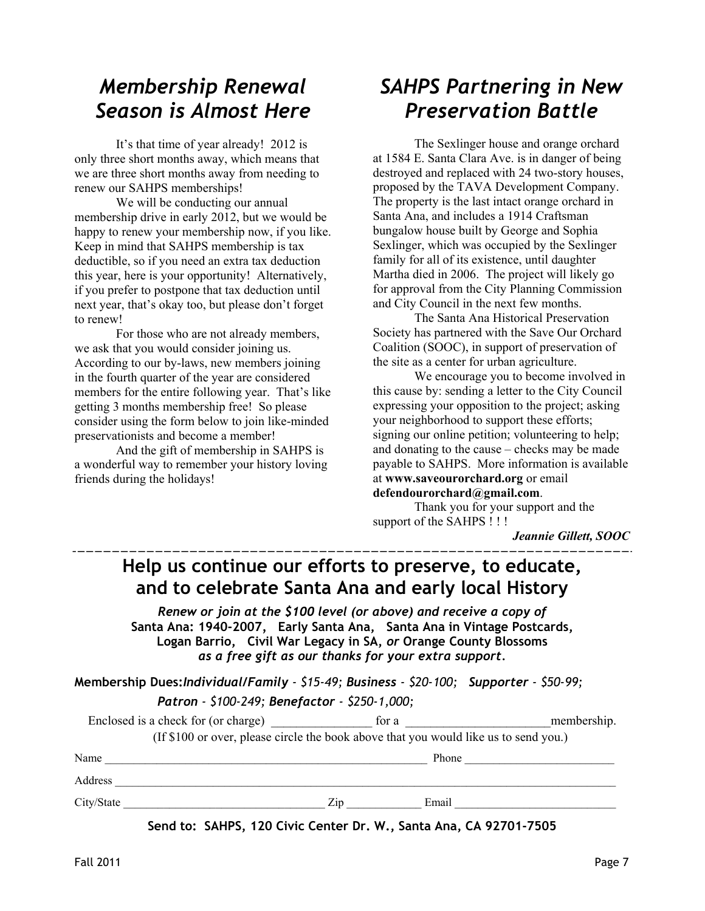### *Membership Renewal Season is Almost Here*

 It's that time of year already! 2012 is only three short months away, which means that we are three short months away from needing to renew our SAHPS memberships!

 We will be conducting our annual membership drive in early 2012, but we would be happy to renew your membership now, if you like. Keep in mind that SAHPS membership is tax deductible, so if you need an extra tax deduction this year, here is your opportunity! Alternatively, if you prefer to postpone that tax deduction until next year, that's okay too, but please don't forget to renew!

 For those who are not already members, we ask that you would consider joining us. According to our by-laws, new members joining in the fourth quarter of the year are considered members for the entire following year. That's like getting 3 months membership free! So please consider using the form below to join like-minded preservationists and become a member!

 And the gift of membership in SAHPS is a wonderful way to remember your history loving friends during the holidays!

# *SAHPS Partnering in New Preservation Battle*

 The Sexlinger house and orange orchard at 1584 E. Santa Clara Ave. is in danger of being destroyed and replaced with 24 two-story houses, proposed by the TAVA Development Company. The property is the last intact orange orchard in Santa Ana, and includes a 1914 Craftsman bungalow house built by George and Sophia Sexlinger, which was occupied by the Sexlinger family for all of its existence, until daughter Martha died in 2006. The project will likely go for approval from the City Planning Commission and City Council in the next few months.

 The Santa Ana Historical Preservation Society has partnered with the Save Our Orchard Coalition (SOOC), in support of preservation of the site as a center for urban agriculture.

 We encourage you to become involved in this cause by: sending a letter to the City Council expressing your opposition to the project; asking your neighborhood to support these efforts; signing our online petition; volunteering to help; and donating to the cause – checks may be made payable to SAHPS. More information is available at **www.saveourorchard.org** or email **defendourorchard@gmail.com**.

 Thank you for your support and the support of the SAHPS ! ! !

*Jeannie Gillett, SOOC*

#### **Help us continue our efforts to preserve, to educate, and to celebrate Santa Ana and early local History**

*Renew or join at the \$100 level (or above) and receive a copy of*  **Santa Ana: 1940-2007***,* **Early Santa Ana, Santa Ana in Vintage Postcards, Logan Barrio, Civil War Legacy in SA,** *or* **Orange County Blossoms** *as a free gift as our thanks for your extra support.* 

**Membership Dues:***Individual/Family - \$15-49; Business - \$20-100; Supporter - \$50-99; Patron - \$100-249; Benefactor - \$250-1,000;* 

|                                     | $1.900$ $1.000$ $2.77$ , Deficiated $2.500$ ,                                        |       |             |
|-------------------------------------|--------------------------------------------------------------------------------------|-------|-------------|
| Enclosed is a check for (or charge) |                                                                                      | for a | membership. |
|                                     | (If \$100 or over, please circle the book above that you would like us to send you.) |       |             |

Name \_\_\_\_\_\_\_\_\_\_\_\_\_\_\_\_\_\_\_\_\_\_\_\_\_\_\_\_\_\_\_\_\_\_\_\_\_\_\_\_\_\_\_\_\_\_\_\_\_\_\_\_\_\_\_\_ Phone \_\_\_\_\_\_\_\_\_\_\_\_\_\_\_\_\_\_\_\_\_\_\_\_\_\_

Address \_\_\_\_\_\_\_\_\_\_\_\_\_\_\_\_\_\_\_\_\_\_\_\_\_\_\_\_\_\_\_\_\_\_\_\_\_\_\_\_\_\_\_\_\_\_\_\_\_\_\_\_\_\_\_\_\_\_\_\_\_\_\_\_\_\_\_\_\_\_\_\_\_\_\_\_\_\_\_\_\_\_\_\_\_\_\_

City/State  $\Box$   $\Box$  Email  $\Box$  Email  $\Box$  Email  $\Box$  Email  $\Box$  Email  $\Box$  Email  $\Box$  Email  $\Box$  Email  $\Box$  Email  $\Box$  Email  $\Box$  Email  $\Box$  Email  $\Box$  Email  $\Box$  Email  $\Box$  Email  $\Box$  Email  $\Box$  Email  $\Box$  Email  $\Box$  Ema

**Send to: SAHPS, 120 Civic Center Dr. W., Santa Ana, CA 92701-7505**